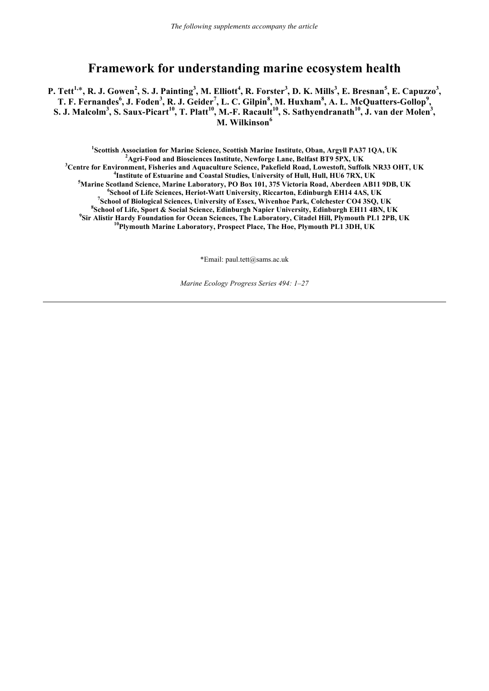# **Framework for understanding marine ecosystem health**

P. Tett<sup>1,\*</sup>, R. J. Gowen<sup>2</sup>, S. J. Painting<sup>3</sup>, M. Elliott<sup>4</sup>, R. Forster<sup>3</sup>, D. K. Mills<sup>3</sup>, E. Bresnan<sup>5</sup>, E. Capuzzo<sup>3</sup>, T. F. Fernandes<sup>6</sup>, J. Foden<sup>3</sup>, R. J. Geider<sup>7</sup>, L. C. Gilpin<sup>8</sup>, M. Huxham<sup>8</sup>, A. L. McQuatters-Gollop<sup>9</sup>, **S. J. Malcolm<sup>3</sup> , S. Saux-Picart10, T. Platt10, M.-F. Racault10, S. Sathyendranath10, J. van der Molen<sup>3</sup> , M. Wilkinson<sup>6</sup>**

<sup>1</sup><br> **1**Scottish Association for Marine Science, Scottish Marine Institute, Oban, Argyll PA37 1QA, UK<br>
<sup>2</sup><sup>A</sup> ani Easd and Biossinness Institute, Nowforce I and Belfost PT0.5DV, UK **Agri-Food and Biosciences Institute, Newforge Lane, Belfast BT9 5PX, UK <sup>3</sup> Centre for Environment, Fisheries and Aquaculture Science, Pakefield Road, Lowestoft, Suffolk NR33 OHT, UK <sup>4</sup>** <sup>4</sup> Institute of Estuarine and Coastal Studies, University of Hull, Hull, HU6 7RX, UK **Marine Scotland Science, Marine Laboratory, PO Box 101, 375 Victoria Road, Aberdeen AB11 9DB, UK <sup>6</sup> School of Life Sciences, Heriot-Watt University, Riccarton, Edinburgh EH14 4AS, UK <sup>7</sup> School of Biological Sciences, University of Essex, Wivenhoe Park, Colchester CO4 3SQ, UK <sup>8</sup> School of Life, Sport & Social Science, Edinburgh Napier University, Edinburgh EH11 4BN, UK <sup>9</sup> Sir Alistir Hardy Foundation for Ocean Sciences, The Laboratory, Citadel Hill, Plymouth PL1 2PB, UK 10Plymouth Marine Laboratory, Prospect Place, The Hoe, Plymouth PL1 3DH, UK**

\*Email: paul.tett@sams.ac.uk

*Marine Ecology Progress Series 494: 1–27*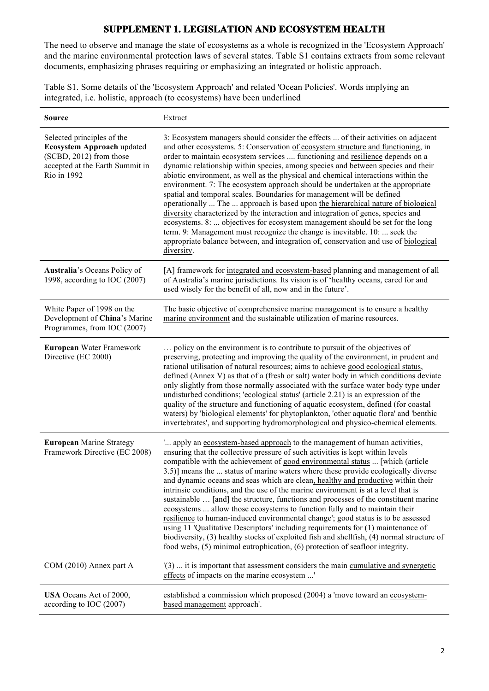## **SUPPLEMENT 1. LEGISLATION AND ECOSYSTEM HEALTH**

The need to observe and manage the state of ecosystems as a whole is recognized in the 'Ecosystem Approach' and the marine environmental protection laws of several states. Table S1 contains extracts from some relevant documents, emphasizing phrases requiring or emphasizing an integrated or holistic approach.

Table S1. Some details of the 'Ecosystem Approach' and related 'Ocean Policies'. Words implying an integrated, i.e. holistic, approach (to ecosystems) have been underlined

| <b>Source</b>                                                                                                                                | Extract                                                                                                                                                                                                                                                                                                                                                                                                                                                                                                                                                                                                                                                                                                                                                                                                                                                                                                                                                                                                                                   |
|----------------------------------------------------------------------------------------------------------------------------------------------|-------------------------------------------------------------------------------------------------------------------------------------------------------------------------------------------------------------------------------------------------------------------------------------------------------------------------------------------------------------------------------------------------------------------------------------------------------------------------------------------------------------------------------------------------------------------------------------------------------------------------------------------------------------------------------------------------------------------------------------------------------------------------------------------------------------------------------------------------------------------------------------------------------------------------------------------------------------------------------------------------------------------------------------------|
| Selected principles of the<br><b>Ecosystem Approach updated</b><br>(SCBD, 2012) from those<br>accepted at the Earth Summit in<br>Rio in 1992 | 3: Ecosystem managers should consider the effects  of their activities on adjacent<br>and other ecosystems. 5: Conservation of ecosystem structure and functioning, in<br>order to maintain ecosystem services  functioning and resilience depends on a<br>dynamic relationship within species, among species and between species and their<br>abiotic environment, as well as the physical and chemical interactions within the<br>environment. 7: The ecosystem approach should be undertaken at the appropriate<br>spatial and temporal scales. Boundaries for management will be defined<br>operationally  The  approach is based upon the hierarchical nature of biological<br>diversity characterized by the interaction and integration of genes, species and<br>ecosystems. 8:  objectives for ecosystem management should be set for the long<br>term. 9: Management must recognize the change is inevitable. 10:  seek the<br>appropriate balance between, and integration of, conservation and use of biological<br>diversity. |
| Australia's Oceans Policy of<br>1998, according to IOC (2007)                                                                                | [A] framework for integrated and ecosystem-based planning and management of all<br>of Australia's marine jurisdictions. Its vision is of 'healthy oceans, cared for and<br>used wisely for the benefit of all, now and in the future'.                                                                                                                                                                                                                                                                                                                                                                                                                                                                                                                                                                                                                                                                                                                                                                                                    |
| White Paper of 1998 on the<br>Development of China's Marine<br>Programmes, from IOC (2007)                                                   | The basic objective of comprehensive marine management is to ensure a healthy<br>marine environment and the sustainable utilization of marine resources.                                                                                                                                                                                                                                                                                                                                                                                                                                                                                                                                                                                                                                                                                                                                                                                                                                                                                  |
| European Water Framework<br>Directive (EC 2000)                                                                                              | policy on the environment is to contribute to pursuit of the objectives of<br>preserving, protecting and improving the quality of the environment, in prudent and<br>rational utilisation of natural resources; aims to achieve good ecological status,<br>defined (Annex V) as that of a (fresh or salt) water body in which conditions deviate<br>only slightly from those normally associated with the surface water body type under<br>undisturbed conditions; 'ecological status' (article 2.21) is an expression of the<br>quality of the structure and functioning of aquatic ecosystem, defined (for coastal<br>waters) by 'biological elements' for phytoplankton, 'other aquatic flora' and 'benthic<br>invertebrates', and supporting hydromorphological and physico-chemical elements.                                                                                                                                                                                                                                        |
| <b>European Marine Strategy</b><br>Framework Directive (EC 2008)                                                                             | ' apply an ecosystem-based approach to the management of human activities,<br>ensuring that the collective pressure of such activities is kept within levels<br>compatible with the achievement of good environmental status  [which (article<br>3.5)] means the  status of marine waters where these provide ecologically diverse<br>and dynamic oceans and seas which are clean, healthy and productive within their<br>intrinsic conditions, and the use of the marine environment is at a level that is<br>sustainable  [and] the structure, functions and processes of the constituent marine<br>ecosystems  allow those ecosystems to function fully and to maintain their<br>resilience to human-induced environmental change'; good status is to be assessed<br>using 11 'Qualitative Descriptors' including requirements for (1) maintenance of<br>biodiversity, (3) healthy stocks of exploited fish and shellfish, (4) normal structure of<br>food webs, (5) minimal eutrophication, (6) protection of seafloor integrity.     |
| COM (2010) Annex part A                                                                                                                      | (3)  it is important that assessment considers the main cumulative and synergetic<br>effects of impacts on the marine ecosystem '                                                                                                                                                                                                                                                                                                                                                                                                                                                                                                                                                                                                                                                                                                                                                                                                                                                                                                         |
| USA Oceans Act of 2000,<br>according to IOC (2007)                                                                                           | established a commission which proposed (2004) a 'move toward an ecosystem-<br>based management approach'.                                                                                                                                                                                                                                                                                                                                                                                                                                                                                                                                                                                                                                                                                                                                                                                                                                                                                                                                |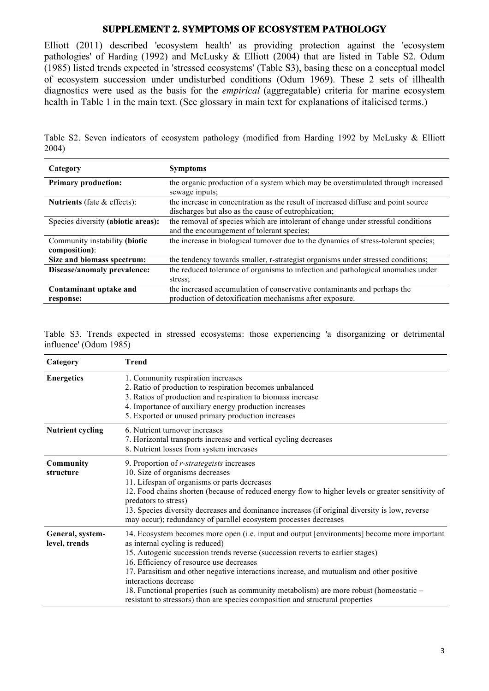## **SUPPLEMENT 2. SYMPTOMS OF ECOSYSTEM PATHOLOGY**

Elliott (2011) described 'ecosystem health' as providing protection against the 'ecosystem pathologies' of Harding (1992) and McLusky & Elliott (2004) that are listed in Table S2. Odum (1985) listed trends expected in 'stressed ecosystems' (Table S3), basing these on a conceptual model of ecosystem succession under undisturbed conditions (Odum 1969). These 2 sets of illhealth diagnostics were used as the basis for the *empirical* (aggregatable) criteria for marine ecosystem health in Table 1 in the main text. (See glossary in main text for explanations of italicised terms.)

Table S2. Seven indicators of ecosystem pathology (modified from Harding 1992 by McLusky & Elliott 2004)

| Category                                       | <b>Symptoms</b>                                                                                                                          |
|------------------------------------------------|------------------------------------------------------------------------------------------------------------------------------------------|
| <b>Primary production:</b>                     | the organic production of a system which may be overstimulated through increased<br>sewage inputs;                                       |
| Nutrients (fate $\&$ effects):                 | the increase in concentration as the result of increased diffuse and point source<br>discharges but also as the cause of eutrophication; |
| Species diversity (abiotic areas):             | the removal of species which are intolerant of change under stressful conditions<br>and the encouragement of tolerant species;           |
| Community instability (biotic<br>composition): | the increase in biological turnover due to the dynamics of stress-tolerant species;                                                      |
| Size and biomass spectrum:                     | the tendency towards smaller, r-strategist organisms under stressed conditions;                                                          |
| Disease/anomaly prevalence:                    | the reduced tolerance of organisms to infection and pathological anomalies under                                                         |
|                                                | stress:                                                                                                                                  |
| Contaminant uptake and                         | the increased accumulation of conservative contaminants and perhaps the                                                                  |
| response:                                      | production of detoxification mechanisms after exposure.                                                                                  |

Table S3. Trends expected in stressed ecosystems: those experiencing 'a disorganizing or detrimental influence' (Odum 1985)

| Category                          | <b>Trend</b>                                                                                                                                                                                                                                                                                                                                                                                                                                                                                                                                                    |
|-----------------------------------|-----------------------------------------------------------------------------------------------------------------------------------------------------------------------------------------------------------------------------------------------------------------------------------------------------------------------------------------------------------------------------------------------------------------------------------------------------------------------------------------------------------------------------------------------------------------|
| <b>Energetics</b>                 | 1. Community respiration increases<br>2. Ratio of production to respiration becomes unbalanced<br>3. Ratios of production and respiration to biomass increase<br>4. Importance of auxiliary energy production increases<br>5. Exported or unused primary production increases                                                                                                                                                                                                                                                                                   |
| <b>Nutrient cycling</b>           | 6. Nutrient turnover increases<br>7. Horizontal transports increase and vertical cycling decreases<br>8. Nutrient losses from system increases                                                                                                                                                                                                                                                                                                                                                                                                                  |
| <b>Community</b><br>structure     | 9. Proportion of <i>r-strategeists</i> increases<br>10. Size of organisms decreases<br>11. Lifespan of organisms or parts decreases<br>12. Food chains shorten (because of reduced energy flow to higher levels or greater sensitivity of<br>predators to stress)<br>13. Species diversity decreases and dominance increases (if original diversity is low, reverse<br>may occur); redundancy of parallel ecosystem processes decreases                                                                                                                         |
| General, system-<br>level, trends | 14. Ecosystem becomes more open (i.e. input and output [environments] become more important<br>as internal cycling is reduced)<br>15. Autogenic succession trends reverse (succession reverts to earlier stages)<br>16. Efficiency of resource use decreases<br>17. Parasitism and other negative interactions increase, and mutualism and other positive<br>interactions decrease<br>18. Functional properties (such as community metabolism) are more robust (homeostatic –<br>resistant to stressors) than are species composition and structural properties |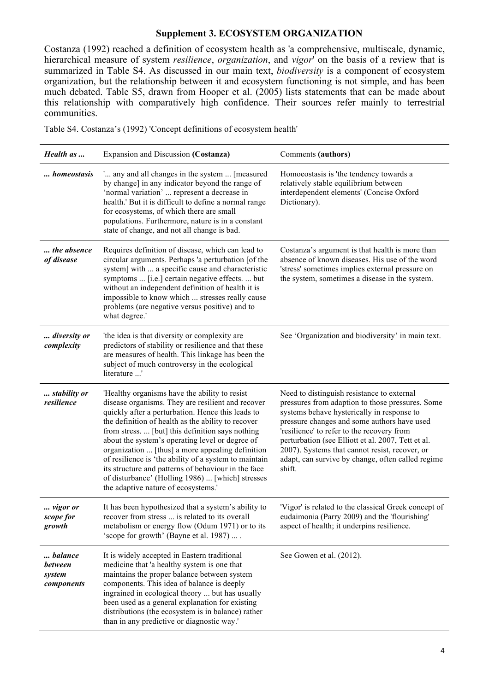#### **Supplement 3. ECOSYSTEM ORGANIZATION**

Costanza (1992) reached a definition of ecosystem health as 'a comprehensive, multiscale, dynamic, hierarchical measure of system *resilience*, *organization*, and *vigor*' on the basis of a review that is summarized in Table S4. As discussed in our main text, *biodiversity* is a component of ecosystem organization, but the relationship between it and ecosystem functioning is not simple, and has been much debated. Table S5, drawn from Hooper et al. (2005) lists statements that can be made about this relationship with comparatively high confidence. Their sources refer mainly to terrestrial communities.

Table S4. Costanza's (1992) 'Concept definitions of ecosystem health'

| Health as                                         | Expansion and Discussion (Costanza)                                                                                                                                                                                                                                                                                                                                                                                                                                                                                                                                                 | Comments (authors)                                                                                                                                                                                                                                                                                                                                                                                               |
|---------------------------------------------------|-------------------------------------------------------------------------------------------------------------------------------------------------------------------------------------------------------------------------------------------------------------------------------------------------------------------------------------------------------------------------------------------------------------------------------------------------------------------------------------------------------------------------------------------------------------------------------------|------------------------------------------------------------------------------------------------------------------------------------------------------------------------------------------------------------------------------------------------------------------------------------------------------------------------------------------------------------------------------------------------------------------|
| homeostasis                                       | ' any and all changes in the system  [measured<br>by change] in any indicator beyond the range of<br>'normal variation'  represent a decrease in<br>health.' But it is difficult to define a normal range<br>for ecosystems, of which there are small<br>populations. Furthermore, nature is in a constant<br>state of change, and not all change is bad.                                                                                                                                                                                                                           | Homoeostasis is 'the tendency towards a<br>relatively stable equilibrium between<br>interdependent elements' (Concise Oxford<br>Dictionary).                                                                                                                                                                                                                                                                     |
| the absence<br>of disease                         | Requires definition of disease, which can lead to<br>circular arguments. Perhaps 'a perturbation [of the<br>system] with  a specific cause and characteristic<br>symptoms  [i.e.] certain negative effects.  but<br>without an independent definition of health it is<br>impossible to know which  stresses really cause<br>problems (are negative versus positive) and to<br>what degree.'                                                                                                                                                                                         | Costanza's argument is that health is more than<br>absence of known diseases. His use of the word<br>'stress' sometimes implies external pressure on<br>the system, sometimes a disease in the system.                                                                                                                                                                                                           |
| diversity or<br>complexity                        | 'the idea is that diversity or complexity are<br>predictors of stability or resilience and that these<br>are measures of health. This linkage has been the<br>subject of much controversy in the ecological<br>literature '                                                                                                                                                                                                                                                                                                                                                         | See 'Organization and biodiversity' in main text.                                                                                                                                                                                                                                                                                                                                                                |
| stability or<br>resilience                        | 'Healthy organisms have the ability to resist<br>disease organisms. They are resilient and recover<br>quickly after a perturbation. Hence this leads to<br>the definition of health as the ability to recover<br>from stress.  [but] this definition says nothing<br>about the system's operating level or degree of<br>organization  [thus] a more appealing definition<br>of resilience is 'the ability of a system to maintain<br>its structure and patterns of behaviour in the face<br>of disturbance' (Holling 1986)  [which] stresses<br>the adaptive nature of ecosystems.' | Need to distinguish resistance to external<br>pressures from adaption to those pressures. Some<br>systems behave hysterically in response to<br>pressure changes and some authors have used<br>'resilience' to refer to the recovery from<br>perturbation (see Elliott et al. 2007, Tett et al.<br>2007). Systems that cannot resist, recover, or<br>adapt, can survive by change, often called regime<br>shift. |
| vigor or<br>scope for<br>growth                   | It has been hypothesized that a system's ability to<br>recover from stress  is related to its overall<br>metabolism or energy flow (Odum 1971) or to its<br>'scope for growth' (Bayne et al. 1987)                                                                                                                                                                                                                                                                                                                                                                                  | 'Vigor' is related to the classical Greek concept of<br>eudaimonia (Parry 2009) and the 'flourishing'<br>aspect of health; it underpins resilience.                                                                                                                                                                                                                                                              |
| balance<br><b>between</b><br>system<br>components | It is widely accepted in Eastern traditional<br>medicine that 'a healthy system is one that<br>maintains the proper balance between system<br>components. This idea of balance is deeply<br>ingrained in ecological theory  but has usually<br>been used as a general explanation for existing<br>distributions (the ecosystem is in balance) rather<br>than in any predictive or diagnostic way.'                                                                                                                                                                                  | See Gowen et al. (2012).                                                                                                                                                                                                                                                                                                                                                                                         |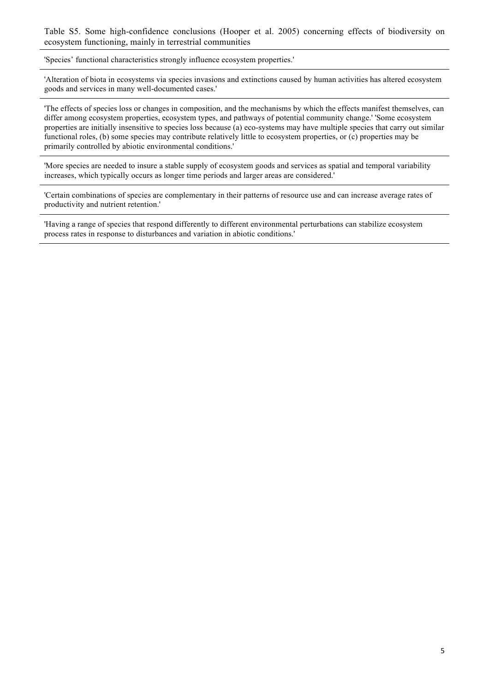Table S5. Some high-confidence conclusions (Hooper et al. 2005) concerning effects of biodiversity on ecosystem functioning, mainly in terrestrial communities

'Species' functional characteristics strongly influence ecosystem properties.'

'Alteration of biota in ecosystems via species invasions and extinctions caused by human activities has altered ecosystem goods and services in many well-documented cases.'

'The effects of species loss or changes in composition, and the mechanisms by which the effects manifest themselves, can differ among ecosystem properties, ecosystem types, and pathways of potential community change.' 'Some ecosystem properties are initially insensitive to species loss because (a) eco-systems may have multiple species that carry out similar functional roles, (b) some species may contribute relatively little to ecosystem properties, or (c) properties may be primarily controlled by abiotic environmental conditions.'

'More species are needed to insure a stable supply of ecosystem goods and services as spatial and temporal variability increases, which typically occurs as longer time periods and larger areas are considered.'

'Certain combinations of species are complementary in their patterns of resource use and can increase average rates of productivity and nutrient retention.'

'Having a range of species that respond differently to different environmental perturbations can stabilize ecosystem process rates in response to disturbances and variation in abiotic conditions.'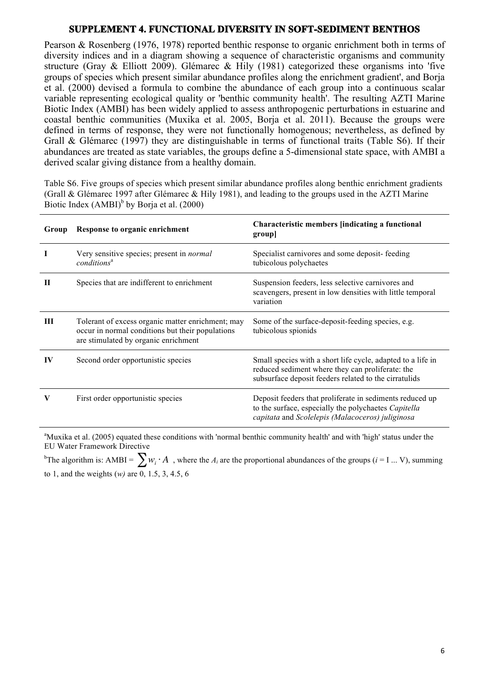## **SUPPLEMENT 4. FUNCTIONAL DIVERSITY IN SOFT-SEDIMENT BENTHOS**

Pearson & Rosenberg (1976, 1978) reported benthic response to organic enrichment both in terms of diversity indices and in a diagram showing a sequence of characteristic organisms and community structure (Gray & Elliott 2009). Glémarec & Hily (1981) categorized these organisms into 'five groups of species which present similar abundance profiles along the enrichment gradient', and Borja et al. (2000) devised a formula to combine the abundance of each group into a continuous scalar variable representing ecological quality or 'benthic community health'. The resulting AZTI Marine Biotic Index (AMBI) has been widely applied to assess anthropogenic perturbations in estuarine and coastal benthic communities (Muxika et al. 2005, Borja et al. 2011). Because the groups were defined in terms of response, they were not functionally homogenous; nevertheless, as defined by Grall & Glémarec (1997) they are distinguishable in terms of functional traits (Table S6). If their abundances are treated as state variables, the groups define a 5-dimensional state space, with AMBI a derived scalar giving distance from a healthy domain.

Table S6. Five groups of species which present similar abundance profiles along benthic enrichment gradients (Grall & Glémarec 1997 after Glémarec & Hily 1981), and leading to the groups used in the AZTI Marine Biotic Index  $(AMBI)^b$  by Borja et al. (2000)

| Group | Response to organic enrichment                                                                                                                | Characteristic members [indicating a functional<br>group                                                                                                                 |
|-------|-----------------------------------------------------------------------------------------------------------------------------------------------|--------------------------------------------------------------------------------------------------------------------------------------------------------------------------|
|       | Very sensitive species; present in <i>normal</i><br>conditions <sup>a</sup>                                                                   | Specialist carnivores and some deposit-feeding<br>tubicolous polychaetes                                                                                                 |
| П     | Species that are indifferent to enrichment                                                                                                    | Suspension feeders, less selective carnivores and<br>scavengers, present in low densities with little temporal<br>variation                                              |
| Ш     | Tolerant of excess organic matter enrichment; may<br>occur in normal conditions but their populations<br>are stimulated by organic enrichment | Some of the surface-deposit-feeding species, e.g.<br>tubicolous spionids                                                                                                 |
| IV    | Second order opportunistic species                                                                                                            | Small species with a short life cycle, adapted to a life in<br>reduced sediment where they can proliferate: the<br>subsurface deposit feeders related to the cirratulids |
| V     | First order opportunistic species                                                                                                             | Deposit feeders that proliferate in sediments reduced up<br>to the surface, especially the polychaetes Capitella<br>capitata and Scolelepis (Malacoceros) juliginosa     |

<sup>a</sup>Muxika et al. (2005) equated these conditions with 'normal benthic community health' and with 'high' status under the EU Water Framework Directive

<sup>b</sup>The algorithm is: AMBI =  $\sum w_i \cdot A$ , where the *A<sub>i</sub>* are the proportional abundances of the groups (*i* = I ... V), summing to 1, and the weights (*w)* are 0, 1.5, 3, 4.5, 6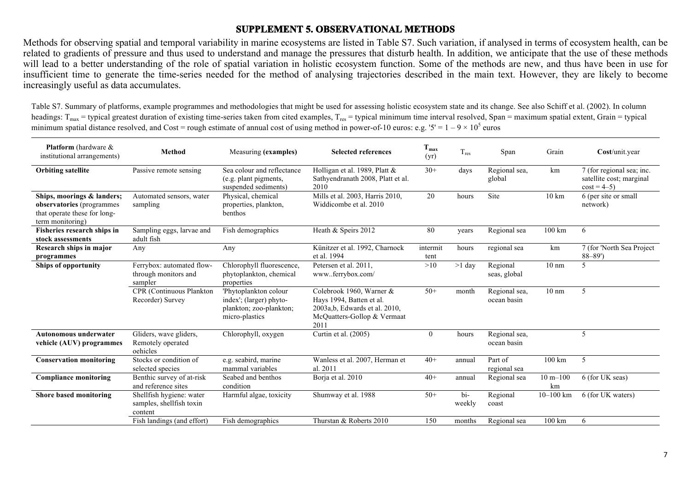## **SUPPLEMENT 5. OBSERVATIONAL METHODS**

Methods for observing spatial and temporal variability in marine ecosystems are listed in Table S7. Such variation, if analysed in terms of ecosystem health, can be related to gradients of pressure and thus used to understand and manage the pressures that disturb health. In addition, we anticipate that the use of these methods will lead to a better understanding of the role of spatial variation in holistic ecosystem function. Some of the methods are new, and thus have been in use for insufficient time to generate the time-series needed for the method of analysing trajectories described in the main text. However, they are likely to become increasingly useful as data accumulates.

Table S7. Summary of platforms, example programmes and methodologies that might be used for assessing holistic ecosystem state and its change. See also Schiff et al. (2002). In column headings:  $T_{\text{max}}$  = typical greatest duration of existing time-series taken from cited examples,  $T_{\text{res}}$  = typical minimum time interval resolved, Span = maximum spatial extent, Grain = typical minimum spatial distance resolved, and Cost = rough estimate of annual cost of using method in power-of-10 euros: e.g. '5' =  $1 - 9 \times 10^5$  euros

| <b>Platform</b> (hardware &<br>institutional arrangements)                                                  | Method                                                          | Measuring (examples)                                                                          | <b>Selected references</b>                                                                                                    | $T_{\rm max}$<br>(yr) | $T_{res}$               | Span                         | Grain              | Cost/unit.year                                                        |
|-------------------------------------------------------------------------------------------------------------|-----------------------------------------------------------------|-----------------------------------------------------------------------------------------------|-------------------------------------------------------------------------------------------------------------------------------|-----------------------|-------------------------|------------------------------|--------------------|-----------------------------------------------------------------------|
| <b>Orbiting satellite</b>                                                                                   | Passive remote sensing                                          | Sea colour and reflectance<br>(e.g. plant pigments,<br>suspended sediments)                   | Holligan et al. 1989, Platt &<br>Sathyendranath 2008, Platt et al.<br>2010                                                    | $30+$                 | days                    | Regional sea,<br>global      | km                 | 7 (for regional sea; inc.<br>satellite cost; marginal<br>$cost = 4-5$ |
| Ships, moorings & landers;<br>observatories (programmes<br>that operate these for long-<br>term monitoring) | Automated sensors, water<br>sampling                            | Physical, chemical<br>properties, plankton,<br>benthos                                        | Mills et al. 2003, Harris 2010,<br>Widdicombe et al. 2010                                                                     | 20                    | hours                   | Site                         | $10 \text{ km}$    | 6 (per site or small<br>network)                                      |
| Fisheries research ships in<br>stock assessments                                                            | Sampling eggs, larvae and<br>adult fish                         | Fish demographics                                                                             | Heath & Speirs 2012                                                                                                           | 80                    | years                   | Regional sea                 | 100 km             | 6                                                                     |
| Research ships in major<br>programmes                                                                       | Any                                                             | Any                                                                                           | Künitzer et al. 1992, Charnock<br>et al. 1994                                                                                 | intermit<br>tent      | hours                   | regional sea                 | km                 | 7 (for 'North Sea Project<br>$88 - 89'$                               |
| <b>Ships of opportunity</b>                                                                                 | Ferrybox: automated flow-<br>through monitors and<br>sampler    | Chlorophyll fluorescence,<br>phytoplankton, chemical<br>properties                            | Petersen et al. 2011.<br>wwwferrybox.com/                                                                                     | >10                   | $>1$ day                | Regional<br>seas, global     | $10 \text{ nm}$    | 5                                                                     |
|                                                                                                             | CPR (Continuous Plankton<br>Recorder) Survey                    | 'Phytoplankton colour<br>index'; (larger) phyto-<br>plankton; zoo-plankton;<br>micro-plastics | Colebrook 1960, Warner &<br>Hays 1994, Batten et al.<br>2003a, b, Edwards et al. 2010,<br>McQuatters-Gollop & Vermaat<br>2011 | $50+$                 | month                   | Regional sea,<br>ocean basin | $10 \text{ nm}$    | 5                                                                     |
| <b>Autonomous underwater</b><br>vehicle (AUV) programmes                                                    | Gliders, wave gliders,<br>Remotely operated<br>oehicles         | Chlorophyll, oxygen                                                                           | Curtin et al. (2005)                                                                                                          | $\theta$              | hours                   | Regional sea,<br>ocean basin |                    | -5                                                                    |
| <b>Conservation monitoring</b>                                                                              | Stocks or condition of<br>selected species                      | e.g. seabird, marine<br>mammal variables                                                      | Wanless et al. 2007, Herman et<br>al. 2011                                                                                    | $40+$                 | annual                  | Part of<br>regional sea      | $100 \text{ km}$   | 5                                                                     |
| <b>Compliance monitoring</b>                                                                                | Benthic survey of at-risk<br>and reference sites                | Seabed and benthos<br>condition                                                               | Borja et al. 2010                                                                                                             | $40+$                 | annual                  | Regional sea                 | $10 m - 100$<br>km | 6 (for UK seas)                                                       |
| Shore based monitoring                                                                                      | Shellfish hygiene: water<br>samples, shellfish toxin<br>content | Harmful algae, toxicity                                                                       | Shumway et al. 1988                                                                                                           | $50+$                 | $\mathbf{bi}$<br>weekly | Regional<br>coast            | $10 - 100$ km      | 6 (for UK waters)                                                     |
|                                                                                                             | Fish landings (and effort)                                      | Fish demographics                                                                             | Thurstan & Roberts 2010                                                                                                       | 150                   | months                  | Regional sea                 | $100 \mathrm{km}$  | 6                                                                     |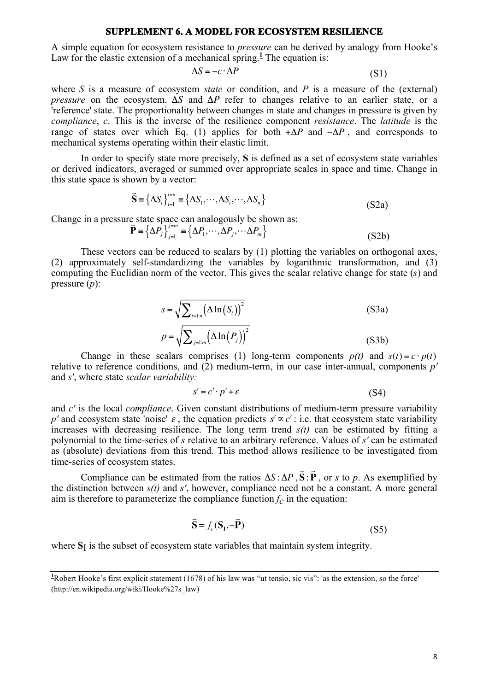#### **SUPPLEMENT 6. A MODEL FOR ECOSYSTEM RESILIENCE**

A simple equation for ecosystem resistance to *pressure* can be derived by analogy from Hooke's Law for the elastic extension of a mechanical spring.<sup> $1$ </sup> The equation is:

$$
\Delta S = -c \cdot \Delta P \tag{S1}
$$

where *S* is a measure of ecosystem *state* or condition, and *P* is a measure of the (external) *pressure* on the ecosystem.  $\Delta S$  and  $\Delta P$  refer to changes relative to an earlier state, or a 'reference' state. The proportionality between changes in state and changes in pressure is given by *compliance*, *c*. This is the inverse of the resilience component *resistance*. The *latitude* is the range of states over which Eq. (1) applies for both  $+\Delta P$  and  $-\Delta P$ , and corresponds to mechanical systems operating within their elastic limit.

In order to specify state more precisely, **S** is defined as a set of ecosystem state variables or derived indicators, averaged or summed over appropriate scales in space and time. Change in this state space is shown by a vector:

$$
\vec{S} = \left\{ \Delta S_i \right\}_{i=1}^{i=n} = \left\{ \Delta S_1, \cdots, \Delta S_i, \cdots, \Delta S_n \right\}
$$
\n(S2a)

Change in a pressure state space can analogously be shown as:

$$
\vec{\mathbf{P}} = {\Delta P_j}_{j=1}^{j=m} = {\Delta P_1, \cdots, \Delta P_j, \cdots \Delta P_m}
$$
\n(S2b)

These vectors can be reduced to scalars by (1) plotting the variables on orthogonal axes, (2) approximately self-standardizing the variables by logarithmic transformation, and (3) computing the Euclidian norm of the vector. This gives the scalar relative change for state (*s*) and pressure (*p*):

$$
s = \sqrt{\sum_{i=1:n} (\Delta \ln(S_i))^2}
$$
\n
$$
p = \sqrt{\sum_{j=1:n} (\Delta \ln(P_j))^2}
$$
\n(S3a)

Change in these scalars comprises (1) long-term components  $p(t)$  and  $s(t) = c \cdot p(t)$ relative to reference conditions, and (2) medium-term, in our case inter-annual, components *p'* and *s'*, where state *scalar variability:*

$$
s' = c' \cdot p' + \varepsilon \tag{S4}
$$

and *c'* is the local *compliance*. Given constant distributions of medium-term pressure variability p' and ecosystem state 'noise'  $\varepsilon$ , the equation predicts  $s' \propto c'$ : i.e. that ecosystem state variability increases with decreasing resilience. The long term trend  $s(t)$  can be estimated by fitting a polynomial to the time-series of *s* relative to an arbitrary reference. Values of *s'* can be estimated as (absolute) deviations from this trend. This method allows resilience to be investigated from time-series of ecosystem states.  $\Rightarrow$  $\overline{a}$ 

Compliance can be estimated from the ratios  $\Delta S : \Delta P$ , **S** : **P** , or *s* to *p*. As exemplified by the distinction between *s(t)* and *s'*, however, compliance need not be a constant. A more general aim is therefore to parameterize the compliance function  $f_c$  in the equation:

$$
\dot{\mathbf{S}} = f_c(\mathbf{S}_1, -\dot{\mathbf{P}}) \tag{S5}
$$

where  $S_I$  is the subset of ecosystem state variables that maintain system integrity.

<sup>&</sup>lt;sup>1</sup>Robert Hooke's first explicit statement (1678) of his law was "ut tensio, sic vis": 'as the extension, so the force' (http://en.wikipedia.org/wiki/Hooke%27s\_law)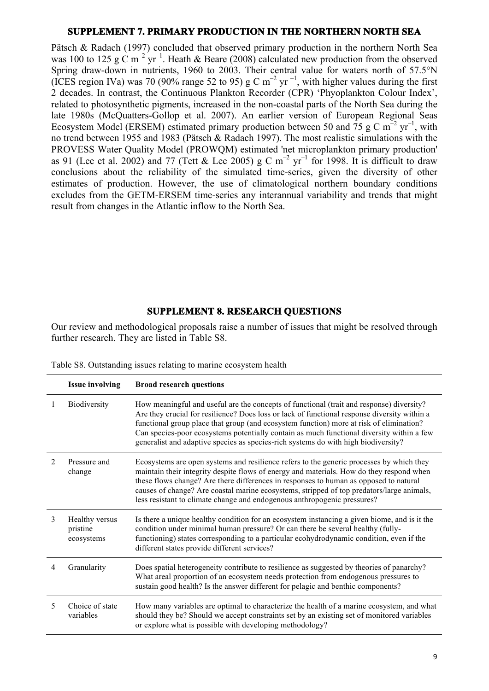#### **SUPPLEMENT 7. PRIMARY PRODUCTION IN THE NORTHERN NORTH SEA**

Pätsch & Radach (1997) concluded that observed primary production in the northern North Sea was 100 to 125 g C m<sup>-2</sup> yr<sup>-1</sup>. Heath & Beare (2008) calculated new production from the observed Spring draw-down in nutrients, 1960 to 2003. Their central value for waters north of 57.5°N (ICES region IVa) was 70 (90% range 52 to 95) g C m<sup>-2</sup> yr<sup>-1</sup>, with higher values during the first 2 decades. In contrast, the Continuous Plankton Recorder (CPR) 'Phyoplankton Colour Index', related to photosynthetic pigments, increased in the non-coastal parts of the North Sea during the late 1980s (McQuatters-Gollop et al. 2007). An earlier version of European Regional Seas Ecosystem Model (ERSEM) estimated primary production between 50 and 75 g C  $m^{-2}$  yr<sup>-1</sup>, with no trend between 1955 and 1983 (Pätsch & Radach 1997). The most realistic simulations with the PROVESS Water Quality Model (PROWQM) estimated 'net microplankton primary production' as 91 (Lee et al. 2002) and 77 (Tett & Lee 2005) g C  $m^{-2}$  yr<sup>-1</sup> for 1998. It is difficult to draw conclusions about the reliability of the simulated time-series, given the diversity of other estimates of production. However, the use of climatological northern boundary conditions excludes from the GETM-ERSEM time-series any interannual variability and trends that might result from changes in the Atlantic inflow to the North Sea.

## **SUPPLEMENT 8. RESEARCH QUESTIONS**

Our review and methodological proposals raise a number of issues that might be resolved through further research. They are listed in Table S8.

|                | <b>Issue involving</b>                   | <b>Broad research questions</b>                                                                                                                                                                                                                                                                                                                                                                                                                                        |
|----------------|------------------------------------------|------------------------------------------------------------------------------------------------------------------------------------------------------------------------------------------------------------------------------------------------------------------------------------------------------------------------------------------------------------------------------------------------------------------------------------------------------------------------|
|                | Biodiversity                             | How meaningful and useful are the concepts of functional (trait and response) diversity?<br>Are they crucial for resilience? Does loss or lack of functional response diversity within a<br>functional group place that group (and ecosystem function) more at risk of elimination?<br>Can species-poor ecosystems potentially contain as much functional diversity within a few<br>generalist and adaptive species as species-rich systems do with high biodiversity? |
| $\mathfrak{D}$ | Pressure and<br>change                   | Ecosystems are open systems and resilience refers to the generic processes by which they<br>maintain their integrity despite flows of energy and materials. How do they respond when<br>these flows change? Are there differences in responses to human as opposed to natural<br>causes of change? Are coastal marine ecosystems, stripped of top predators/large animals,<br>less resistant to climate change and endogenous anthropogenic pressures?                 |
| 3              | Healthy versus<br>pristine<br>ecosystems | Is there a unique healthy condition for an ecosystem instancing a given biome, and is it the<br>condition under minimal human pressure? Or can there be several healthy (fully-<br>functioning) states corresponding to a particular ecohydrodynamic condition, even if the<br>different states provide different services?                                                                                                                                            |
| 4              | Granularity                              | Does spatial heterogeneity contribute to resilience as suggested by theories of panarchy?<br>What areal proportion of an ecosystem needs protection from endogenous pressures to<br>sustain good health? Is the answer different for pelagic and benthic components?                                                                                                                                                                                                   |
| 5              | Choice of state<br>variables             | How many variables are optimal to characterize the health of a marine ecosystem, and what<br>should they be? Should we accept constraints set by an existing set of monitored variables<br>or explore what is possible with developing methodology?                                                                                                                                                                                                                    |

Table S8. Outstanding issues relating to marine ecosystem health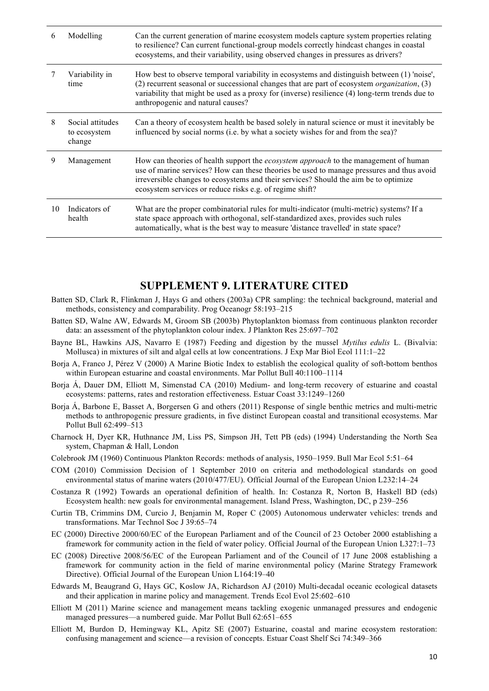| b  | Modelling                                  | Can the current generation of marine ecosystem models capture system properties relating<br>to resilience? Can current functional-group models correctly hindcast changes in coastal<br>ecosystems, and their variability, using observed changes in pressures as drivers?                                                            |
|----|--------------------------------------------|---------------------------------------------------------------------------------------------------------------------------------------------------------------------------------------------------------------------------------------------------------------------------------------------------------------------------------------|
|    | Variability in<br>time                     | How best to observe temporal variability in ecosystems and distinguish between (1) 'noise',<br>(2) recurrent seasonal or successional changes that are part of ecosystem organization, (3)<br>variability that might be used as a proxy for (inverse) resilience (4) long-term trends due to<br>anthropogenic and natural causes?     |
| 8  | Social attitudes<br>to ecosystem<br>change | Can a theory of ecosystem health be based solely in natural science or must it inevitably be<br>influenced by social norms (i.e. by what a society wishes for and from the sea)?                                                                                                                                                      |
| 9  | Management                                 | How can theories of health support the ecosystem approach to the management of human<br>use of marine services? How can these theories be used to manage pressures and thus avoid<br>irreversible changes to ecosystems and their services? Should the aim be to optimize<br>ecosystem services or reduce risks e.g. of regime shift? |
| 10 | Indicators of<br>health                    | What are the proper combinatorial rules for multi-indicator (multi-metric) systems? If a<br>state space approach with orthogonal, self-standardized axes, provides such rules<br>automatically, what is the best way to measure 'distance travelled' in state space?                                                                  |

# **SUPPLEMENT 9. LITERATURE CITED**

- Batten SD, Clark R, Flinkman J, Hays G and others (2003a) CPR sampling: the technical background, material and methods, consistency and comparability. Prog Oceanogr 58:193–215
- Batten SD, Walne AW, Edwards M, Groom SB (2003b) Phytoplankton biomass from continuous plankton recorder data: an assessment of the phytoplankton colour index. J Plankton Res 25:697–702
- Bayne BL, Hawkins AJS, Navarro E (1987) Feeding and digestion by the mussel *Mytilus edulis* L. (Bivalvia: Mollusca) in mixtures of silt and algal cells at low concentrations. J Exp Mar Biol Ecol 111:1–22
- Borja A, Franco J, Pérez V (2000) A Marine Biotic Index to establish the ecological quality of soft-bottom benthos within European estuarine and coastal environments. Mar Pollut Bull 40:1100–1114
- Borja Á, Dauer DM, Elliott M, Simenstad CA (2010) Medium- and long-term recovery of estuarine and coastal ecosystems: patterns, rates and restoration effectiveness. Estuar Coast 33:1249–1260
- Borja Á, Barbone E, Basset A, Borgersen G and others (2011) Response of single benthic metrics and multi-metric methods to anthropogenic pressure gradients, in five distinct European coastal and transitional ecosystems. Mar Pollut Bull 62:499–513
- Charnock H, Dyer KR, Huthnance JM, Liss PS, Simpson JH, Tett PB (eds) (1994) Understanding the North Sea system, Chapman & Hall, London
- Colebrook JM (1960) Continuous Plankton Records: methods of analysis, 1950–1959. Bull Mar Ecol 5:51–64
- COM (2010) Commission Decision of 1 September 2010 on criteria and methodological standards on good environmental status of marine waters (2010/477/EU). Official Journal of the European Union L232:14–24
- Costanza R (1992) Towards an operational definition of health. In: Costanza R, Norton B, Haskell BD (eds) Ecosystem health: new goals for environmental management. Island Press, Washington, DC, p 239–256
- Curtin TB, Crimmins DM, Curcio J, Benjamin M, Roper C (2005) Autonomous underwater vehicles: trends and transformations. Mar Technol Soc J 39:65–74
- EC (2000) Directive 2000/60/EC of the European Parliament and of the Council of 23 October 2000 establishing a framework for community action in the field of water policy. Official Journal of the European Union L327:1–73
- EC (2008) Directive 2008/56/EC of the European Parliament and of the Council of 17 June 2008 establishing a framework for community action in the field of marine environmental policy (Marine Strategy Framework Directive). Official Journal of the European Union L164:19–40
- Edwards M, Beaugrand G, Hays GC, Koslow JA, Richardson AJ (2010) Multi-decadal oceanic ecological datasets and their application in marine policy and management. Trends Ecol Evol 25:602–610
- Elliott M (2011) Marine science and management means tackling exogenic unmanaged pressures and endogenic managed pressures—a numbered guide. Mar Pollut Bull 62:651–655
- Elliott M, Burdon D, Hemingway KL, Apitz SE (2007) Estuarine, coastal and marine ecosystem restoration: confusing management and science—a revision of concepts. Estuar Coast Shelf Sci 74:349–366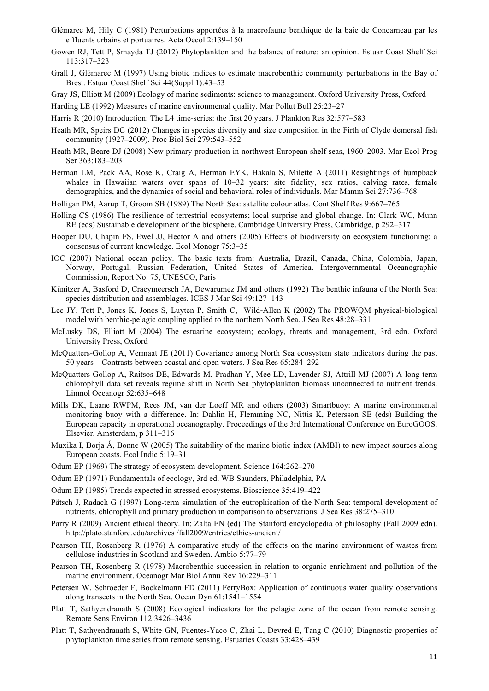- Glémarec M, Hily C (1981) Perturbations apportées à la macrofaune benthique de la baie de Concarneau par les effluents urbains et portuaires. Acta Oecol 2:139–150
- Gowen RJ, Tett P, Smayda TJ (2012) Phytoplankton and the balance of nature: an opinion. Estuar Coast Shelf Sci 113:317–323
- Grall J, Glémarec M (1997) Using biotic indices to estimate macrobenthic community perturbations in the Bay of Brest. Estuar Coast Shelf Sci 44(Suppl 1):43–53

Gray JS, Elliott M (2009) Ecology of marine sediments: science to management. Oxford University Press, Oxford

Harding LE (1992) Measures of marine environmental quality. Mar Pollut Bull 25:23–27

- Harris R (2010) Introduction: The L4 time-series: the first 20 years. J Plankton Res 32:577–583
- Heath MR, Speirs DC (2012) Changes in species diversity and size composition in the Firth of Clyde demersal fish community (1927–2009). Proc Biol Sci 279:543–552
- Heath MR, Beare DJ (2008) New primary production in northwest European shelf seas, 1960–2003. Mar Ecol Prog Ser 363:183–203
- Herman LM, Pack AA, Rose K, Craig A, Herman EYK, Hakala S, Milette A (2011) Resightings of humpback whales in Hawaiian waters over spans of  $10-32$  years: site fidelity, sex ratios, calving rates, female demographics, and the dynamics of social and behavioral roles of individuals. Mar Mamm Sci 27:736–768
- Holligan PM, Aarup T, Groom SB (1989) The North Sea: satellite colour atlas. Cont Shelf Res 9:667–765
- Holling CS (1986) The resilience of terrestrial ecosystems; local surprise and global change. In: Clark WC, Munn RE (eds) Sustainable development of the biosphere. Cambridge University Press, Cambridge, p 292–317
- Hooper DU, Chapin FS, Ewel JJ, Hector A and others (2005) Effects of biodiversity on ecosystem functioning: a consensus of current knowledge. Ecol Monogr 75:3–35
- IOC (2007) National ocean policy. The basic texts from: Australia, Brazil, Canada, China, Colombia, Japan, Norway, Portugal, Russian Federation, United States of America. Intergovernmental Oceanographic Commission, Report No. 75, UNESCO, Paris
- Künitzer A, Basford D, Craeymeersch JA, Dewarumez JM and others (1992) The benthic infauna of the North Sea: species distribution and assemblages. ICES J Mar Sci 49:127–143
- Lee JY, Tett P, Jones K, Jones S, Luyten P, Smith C, Wild-Allen K (2002) The PROWQM physical-biological model with benthic-pelagic coupling applied to the northern North Sea. J Sea Res 48:28–331
- McLusky DS, Elliott M (2004) The estuarine ecosystem; ecology, threats and management, 3rd edn. Oxford University Press, Oxford
- McQuatters-Gollop A, Vermaat JE (2011) Covariance among North Sea ecosystem state indicators during the past 50 years—Contrasts between coastal and open waters. J Sea Res 65:284–292
- McQuatters-Gollop A, Raitsos DE, Edwards M, Pradhan Y, Mee LD, Lavender SJ, Attrill MJ (2007) A long-term chlorophyll data set reveals regime shift in North Sea phytoplankton biomass unconnected to nutrient trends. Limnol Oceanogr 52:635–648
- Mills DK, Laane RWPM, Rees JM, van der Loeff MR and others (2003) Smartbuoy: A marine environmental monitoring buoy with a difference. In: Dahlin H, Flemming NC, Nittis K, Petersson SE (eds) Building the European capacity in operational oceanography. Proceedings of the 3rd International Conference on EuroGOOS. Elsevier, Amsterdam, p 311–316
- Muxika I, Borja Á, Bonne W (2005) The suitability of the marine biotic index (AMBI) to new impact sources along European coasts. Ecol Indic 5:19–31
- Odum EP (1969) The strategy of ecosystem development. Science 164:262–270
- Odum EP (1971) Fundamentals of ecology, 3rd ed. WB Saunders, Philadelphia, PA
- Odum EP (1985) Trends expected in stressed ecosystems. Bioscience 35:419–422
- Pätsch J, Radach G (1997) Long-term simulation of the eutrophication of the North Sea: temporal development of nutrients, chlorophyll and primary production in comparison to observations. J Sea Res 38:275–310
- Parry R (2009) Ancient ethical theory. In: Zalta EN (ed) The Stanford encyclopedia of philosophy (Fall 2009 edn). http://plato.stanford.edu/archives /fall2009/entries/ethics-ancient/
- Pearson TH, Rosenberg R (1976) A comparative study of the effects on the marine environment of wastes from cellulose industries in Scotland and Sweden. Ambio 5:77–79
- Pearson TH, Rosenberg R (1978) Macrobenthic succession in relation to organic enrichment and pollution of the marine environment. Oceanogr Mar Biol Annu Rev 16:229–311
- Petersen W, Schroeder F, Bockelmann FD (2011) FerryBox: Application of continuous water quality observations along transects in the North Sea. Ocean Dyn 61:1541–1554
- Platt T, Sathyendranath S (2008) Ecological indicators for the pelagic zone of the ocean from remote sensing. Remote Sens Environ 112:3426–3436
- Platt T, Sathyendranath S, White GN, Fuentes-Yaco C, Zhai L, Devred E, Tang C (2010) Diagnostic properties of phytoplankton time series from remote sensing. Estuaries Coasts 33:428–439